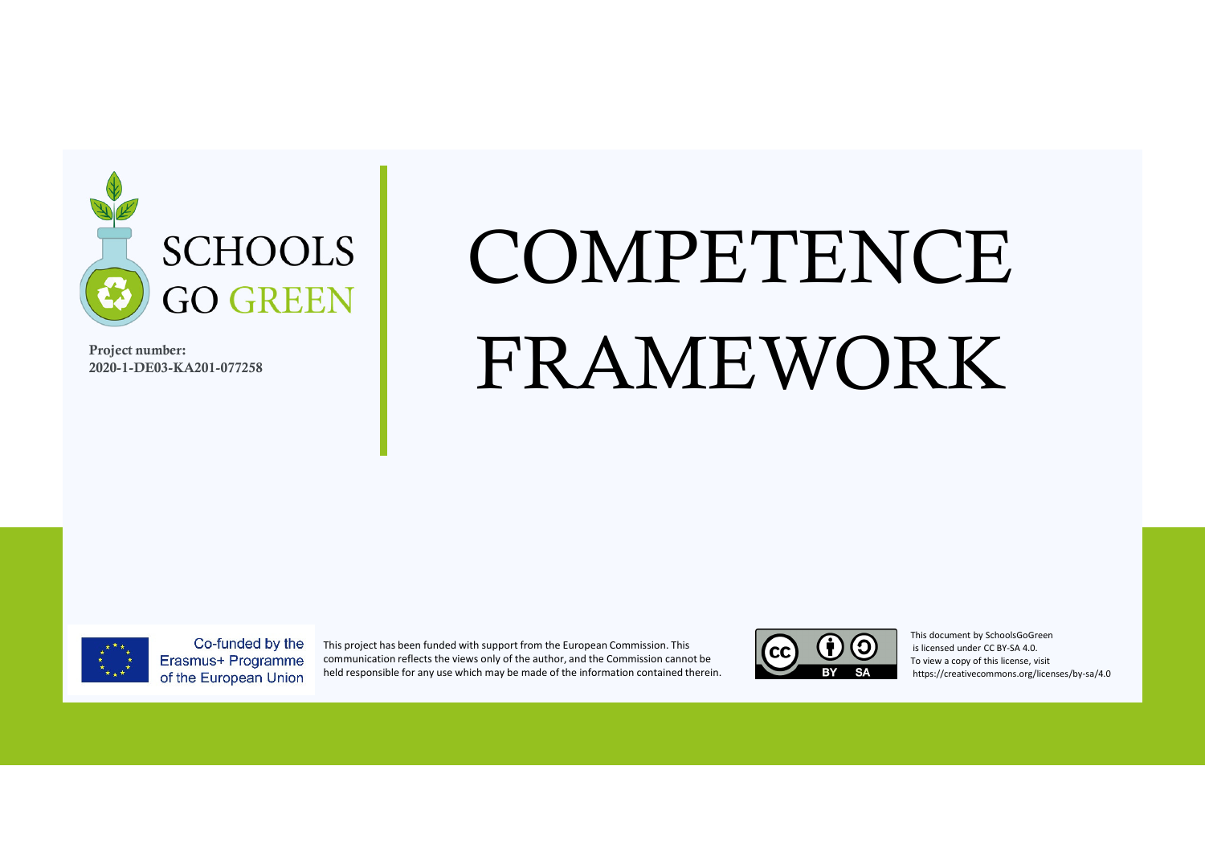

**Project number: 2020-1-DE03-KA201-077258**

## COMPETENCEFRAMEWORK



Co-funded by the Erasmus+ Programme of the European Union

This project has been funded with support from the European Commission. This communication reflects the views only of the author, and the Commission cannot be held responsible for any use which may be made of the information contained therein.



This document by SchoolsGoGreenis licensed under CC BY-SA 4.0. To view a copy of this license, visithttps://creativecommons.org/licenses/by-sa/4.0